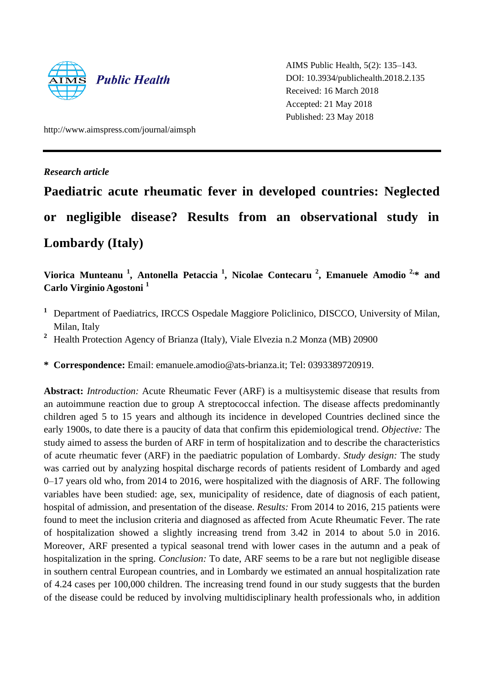

AIMS Public Health, 5(2): 135–143. DOI: 10.3934/publichealth.2018.2.135 Received: 16 March 2018 Accepted: 21 May 2018 Published: 23 May 2018

http://www.aimspress.com/journal/aimsph

*Research article*

# **Paediatric acute rheumatic fever in developed countries: Neglected or negligible disease? Results from an observational study in Lombardy (Italy)**

**Viorica Munteanu <sup>1</sup> , Antonella Petaccia <sup>1</sup> , Nicolae Contecaru <sup>2</sup> , Emanuele Amodio 2,\* and Carlo Virginio Agostoni <sup>1</sup>**

- <sup>1</sup> Department of Paediatrics, IRCCS Ospedale Maggiore Policlinico, DISCCO, University of Milan, Milan, Italy
- <sup>2</sup> Health Protection Agency of Brianza (Italy), Viale Elvezia n.2 Monza (MB) 20900

**\* Correspondence:** Email: emanuele.amodio@ats-brianza.it; Tel: 0393389720919.

**Abstract:** *Introduction:* Acute Rheumatic Fever (ARF) is a multisystemic disease that results from an autoimmune reaction due to group A streptococcal infection. The disease affects predominantly children aged 5 to 15 years and although its incidence in developed Countries declined since the early 1900s, to date there is a paucity of data that confirm this epidemiological trend. *Objective:* The study aimed to assess the burden of ARF in term of hospitalization and to describe the characteristics of acute rheumatic fever (ARF) in the paediatric population of Lombardy. *Study design:* The study was carried out by analyzing hospital discharge records of patients resident of Lombardy and aged 0–17 years old who, from 2014 to 2016, were hospitalized with the diagnosis of ARF. The following variables have been studied: age, sex, municipality of residence, date of diagnosis of each patient, hospital of admission, and presentation of the disease. *Results:* From 2014 to 2016, 215 patients were found to meet the inclusion criteria and diagnosed as affected from Acute Rheumatic Fever. The rate of hospitalization showed a slightly increasing trend from 3.42 in 2014 to about 5.0 in 2016. Moreover, ARF presented a typical seasonal trend with lower cases in the autumn and a peak of hospitalization in the spring. *Conclusion:* To date, ARF seems to be a rare but not negligible disease in southern central European countries, and in Lombardy we estimated an annual hospitalization rate of 4.24 cases per 100,000 children. The increasing trend found in our study suggests that the burden of the disease could be reduced by involving multidisciplinary health professionals who, in addition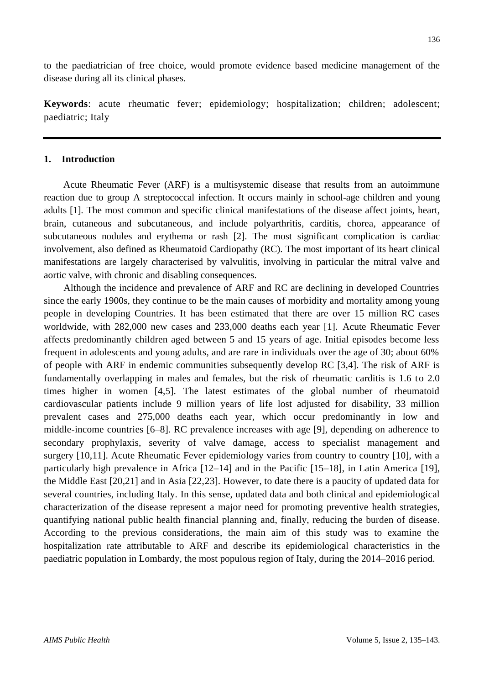to the paediatrician of free choice, would promote evidence based medicine management of the disease during all its clinical phases.

**Keywords**: acute rheumatic fever; epidemiology; hospitalization; children; adolescent; paediatric; Italy

## **1. Introduction**

Acute Rheumatic Fever (ARF) is a multisystemic disease that results from an autoimmune reaction due to group A streptococcal infection. It occurs mainly in school-age children and young adults [1]. The most common and specific clinical manifestations of the disease affect joints, heart, brain, cutaneous and subcutaneous, and include polyarthritis, carditis, chorea, appearance of subcutaneous nodules and erythema or rash [2]. The most significant complication is cardiac involvement, also defined as Rheumatoid Cardiopathy (RC). The most important of its heart clinical manifestations are largely characterised by valvulitis, involving in particular the mitral valve and aortic valve, with chronic and disabling consequences.

Although the incidence and prevalence of ARF and RC are declining in developed Countries since the early 1900s, they continue to be the main causes of morbidity and mortality among young people in developing Countries. It has been estimated that there are over 15 million RC cases worldwide, with 282,000 new cases and 233,000 deaths each year [1]. Acute Rheumatic Fever affects predominantly children aged between 5 and 15 years of age. Initial episodes become less frequent in adolescents and young adults, and are rare in individuals over the age of 30; about 60% of people with ARF in endemic communities subsequently develop RC [3,4]. The risk of ARF is fundamentally overlapping in males and females, but the risk of rheumatic carditis is 1.6 to 2.0 times higher in women [4,5]. The latest estimates of the global number of rheumatoid cardiovascular patients include 9 million years of life lost adjusted for disability, 33 million prevalent cases and 275,000 deaths each year, which occur predominantly in low and middle-income countries [6–8]. RC prevalence increases with age [9], depending on adherence to secondary prophylaxis, severity of valve damage, access to specialist management and surgery [10,11]. Acute Rheumatic Fever epidemiology varies from country to country [10], with a particularly high prevalence in Africa [12–14] and in the Pacific [15–18], in Latin America [19], the Middle East [20,21] and in Asia [22,23]. However, to date there is a paucity of updated data for several countries, including Italy. In this sense, updated data and both clinical and epidemiological characterization of the disease represent a major need for promoting preventive health strategies, quantifying national public health financial planning and, finally, reducing the burden of disease. According to the previous considerations, the main aim of this study was to examine the hospitalization rate attributable to ARF and describe its epidemiological characteristics in the paediatric population in Lombardy, the most populous region of Italy, during the 2014–2016 period.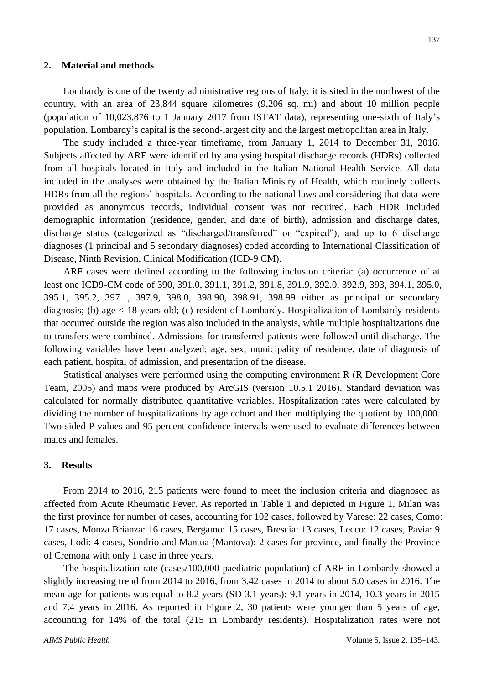#### **2. Material and methods**

Lombardy is one of the twenty administrative regions of Italy; it is sited in the northwest of the country, with an area of 23,844 square kilometres (9,206 sq. mi) and about 10 million people (population of 10,023,876 to 1 January 2017 from ISTAT data), representing one-sixth of Italy's population. Lombardy's capital is the second-largest city and the largest metropolitan area in Italy.

The study included a three-year timeframe, from January 1, 2014 to December 31, 2016. Subjects affected by ARF were identified by analysing hospital discharge records (HDRs) collected from all hospitals located in Italy and included in the Italian National Health Service. All data included in the analyses were obtained by the Italian Ministry of Health, which routinely collects HDRs from all the regions' hospitals. According to the national laws and considering that data were provided as anonymous records, individual consent was not required. Each HDR included demographic information (residence, gender, and date of birth), admission and discharge dates, discharge status (categorized as "discharged/transferred" or "expired"), and up to 6 discharge diagnoses (1 principal and 5 secondary diagnoses) coded according to International Classification of Disease, Ninth Revision, Clinical Modification (ICD-9 CM).

ARF cases were defined according to the following inclusion criteria: (a) occurrence of at least one ICD9-CM code of 390, 391.0, 391.1, 391.2, 391.8, 391.9, 392.0, 392.9, 393, 394.1, 395.0, 395.1, 395.2, 397.1, 397.9, 398.0, 398.90, 398.91, 398.99 either as principal or secondary diagnosis; (b) age < 18 years old; (c) resident of Lombardy. Hospitalization of Lombardy residents that occurred outside the region was also included in the analysis, while multiple hospitalizations due to transfers were combined. Admissions for transferred patients were followed until discharge. The following variables have been analyzed: age, sex, municipality of residence, date of diagnosis of each patient, hospital of admission, and presentation of the disease.

Statistical analyses were performed using the computing environment R (R Development Core Team, 2005) and maps were produced by ArcGIS (version 10.5.1 2016). Standard deviation was calculated for normally distributed quantitative variables. Hospitalization rates were calculated by dividing the number of hospitalizations by age cohort and then multiplying the quotient by 100,000. Two-sided P values and 95 percent confidence intervals were used to evaluate differences between males and females.

#### **3. Results**

From 2014 to 2016, 215 patients were found to meet the inclusion criteria and diagnosed as affected from Acute Rheumatic Fever. As reported in Table 1 and depicted in Figure 1, Milan was the first province for number of cases, accounting for 102 cases, followed by Varese: 22 cases, Como: 17 cases, Monza Brianza: 16 cases, Bergamo: 15 cases, Brescia: 13 cases, Lecco: 12 cases, Pavia: 9 cases, Lodi: 4 cases, Sondrio and Mantua (Mantova): 2 cases for province, and finally the Province of Cremona with only 1 case in three years.

The hospitalization rate (cases/100,000 paediatric population) of ARF in Lombardy showed a slightly increasing trend from 2014 to 2016, from 3.42 cases in 2014 to about 5.0 cases in 2016. The mean age for patients was equal to 8.2 years (SD 3.1 years): 9.1 years in 2014, 10.3 years in 2015 and 7.4 years in 2016. As reported in Figure 2, 30 patients were younger than 5 years of age, accounting for 14% of the total (215 in Lombardy residents). Hospitalization rates were not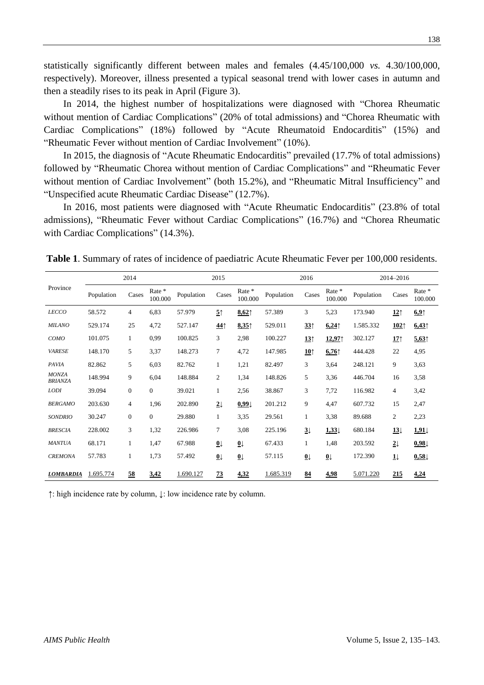statistically significantly different between males and females (4.45/100,000 *vs.* 4.30/100,000, respectively). Moreover, illness presented a typical seasonal trend with lower cases in autumn and then a steadily rises to its peak in April (Figure 3).

In 2014, the highest number of hospitalizations were diagnosed with "Chorea Rheumatic without mention of Cardiac Complications" (20% of total admissions) and "Chorea Rheumatic with Cardiac Complications" (18%) followed by "Acute Rheumatoid Endocarditis" (15%) and "Rheumatic Fever without mention of Cardiac Involvement" (10%).

In 2015, the diagnosis of "Acute Rheumatic Endocarditis" prevailed (17.7% of total admissions) followed by "Rheumatic Chorea without mention of Cardiac Complications" and "Rheumatic Fever without mention of Cardiac Involvement" (both 15.2%), and "Rheumatic Mitral Insufficiency" and "Unspecified acute Rheumatic Cardiac Disease" (12.7%).

In 2016, most patients were diagnosed with "Acute Rheumatic Endocarditis" (23.8% of total admissions), "Rheumatic Fever without Cardiac Complications" (16.7%) and "Chorea Rheumatic with Cardiac Complications" (14.3%).

**Table 1**. Summary of rates of incidence of paediatric Acute Rheumatic Fever per 100,000 residents.

|                                | 2014       |                  |                   | 2015       |                 |                   | 2016       |                 |                   | 2014-2016  |                 |                   |
|--------------------------------|------------|------------------|-------------------|------------|-----------------|-------------------|------------|-----------------|-------------------|------------|-----------------|-------------------|
| Province                       | Population | Cases            | Rate *<br>100.000 | Population | Cases           | Rate *<br>100.000 | Population | Cases           | Rate *<br>100.000 | Population | Cases           | Rate *<br>100.000 |
| <b>LECCO</b>                   | 58.572     | 4                | 6.83              | 57.979     | 5 <sup>†</sup>  | 8,62              | 57.389     | 3               | 5,23              | 173.940    | 12 <sub>1</sub> | 6.9               |
| <b>MILANO</b>                  | 529.174    | 25               | 4,72              | 527.147    | $44$ î          | 8,35              | 529.011    | 33 <sup>†</sup> | 6,24              | 1.585.332  | 102             | 6,43              |
| COMO                           | 101.075    | 1                | 0,99              | 100.825    | 3               | 2,98              | 100.227    | 13 <sup>†</sup> | 12,97             | 302.127    | 17              | 5.63              |
| <b>VARESE</b>                  | 148.170    | 5                | 3,37              | 148.273    | 7               | 4,72              | 147.985    | 10 <sub>1</sub> | 6,76              | 444.428    | 22              | 4,95              |
| <b>PAVIA</b>                   | 82.862     | 5                | 6,03              | 82.762     | $\mathbf{1}$    | 1,21              | 82.497     | 3               | 3,64              | 248.121    | 9               | 3,63              |
| <b>MONZA</b><br><b>BRIANZA</b> | 148.994    | 9                | 6,04              | 148.884    | 2               | 1,34              | 148.826    | 5               | 3,36              | 446.704    | 16              | 3,58              |
| <b>LODI</b>                    | 39.094     | $\boldsymbol{0}$ | $\boldsymbol{0}$  | 39.021     | $\mathbf{1}$    | 2,56              | 38.867     | 3               | 7,72              | 116.982    | 4               | 3,42              |
| <b>BERGAMO</b>                 | 203.630    | 4                | 1,96              | 202.890    | $2\downarrow$   | 0,991             | 201.212    | 9               | 4,47              | 607.732    | 15              | 2,47              |
| <b>SONDRIO</b>                 | 30.247     | $\overline{0}$   | $\mathbf{0}$      | 29.880     | $\mathbf{1}$    | 3,35              | 29.561     | 1               | 3,38              | 89.688     | $\overline{c}$  | 2,23              |
| <b>BRESCIA</b>                 | 228.002    | 3                | 1,32              | 226.986    | $\tau$          | 3,08              | 225.196    | $3\downarrow$   | 1,33              | 680.184    | $13\downarrow$  | 1,91              |
| <b>MANTUA</b>                  | 68.171     | 1                | 1,47              | 67.988     | $\overline{0}$  | $\overline{0}$    | 67.433     | $\mathbf{1}$    | 1,48              | 203.592    | $2\downarrow$   | 0,98              |
| <b>CREMONA</b>                 | 57.783     | 1                | 1,73              | 57.492     | $\overline{0}$  | $\overline{0}$    | 57.115     | $\overline{0}$  | $\overline{0}$    | 172.390    | $1\downarrow$   | 0,58              |
| <b>LOMBARDIA</b>               | 1.695.774  | 58               | 3,42              | 1.690.127  | $\overline{23}$ | 4,32              | 1.685.319  | 84              | 4,98              | 5.071.220  | 215             | 4,24              |

↑: high incidence rate by column, ↓: low incidence rate by column.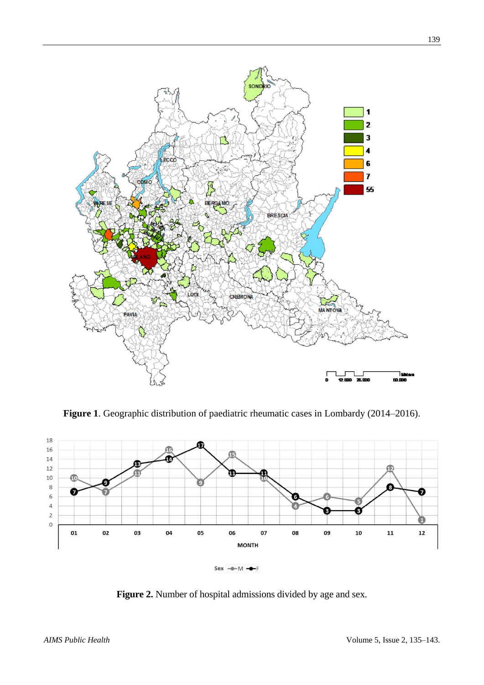

**Figure 1**. Geographic distribution of paediatric rheumatic cases in Lombardy (2014–2016).



**Figure 2.** Number of hospital admissions divided by age and sex.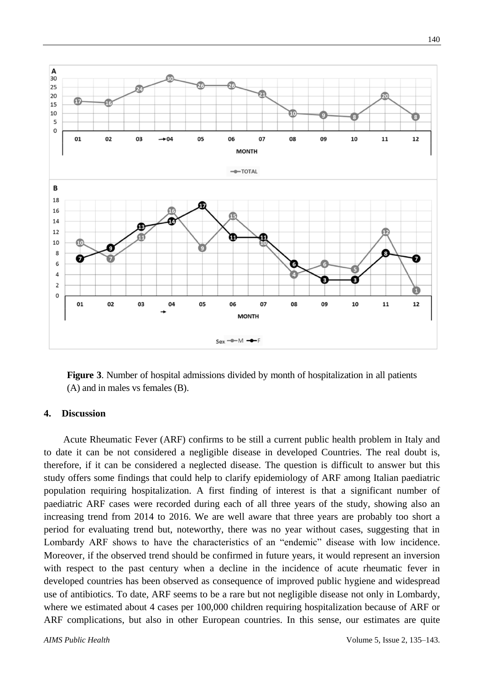

**Figure 3**. Number of hospital admissions divided by month of hospitalization in all patients (A) and in males vs females (B).

## **4. Discussion**

Acute Rheumatic Fever (ARF) confirms to be still a current public health problem in Italy and to date it can be not considered a negligible disease in developed Countries. The real doubt is, therefore, if it can be considered a neglected disease. The question is difficult to answer but this study offers some findings that could help to clarify epidemiology of ARF among Italian paediatric population requiring hospitalization. A first finding of interest is that a significant number of paediatric ARF cases were recorded during each of all three years of the study, showing also an increasing trend from 2014 to 2016. We are well aware that three years are probably too short a period for evaluating trend but, noteworthy, there was no year without cases, suggesting that in Lombardy ARF shows to have the characteristics of an "endemic" disease with low incidence. Moreover, if the observed trend should be confirmed in future years, it would represent an inversion with respect to the past century when a decline in the incidence of acute rheumatic fever in developed countries has been observed as consequence of improved public hygiene and widespread use of antibiotics. To date, ARF seems to be a rare but not negligible disease not only in Lombardy, where we estimated about 4 cases per 100,000 children requiring hospitalization because of ARF or ARF complications, but also in other European countries. In this sense, our estimates are quite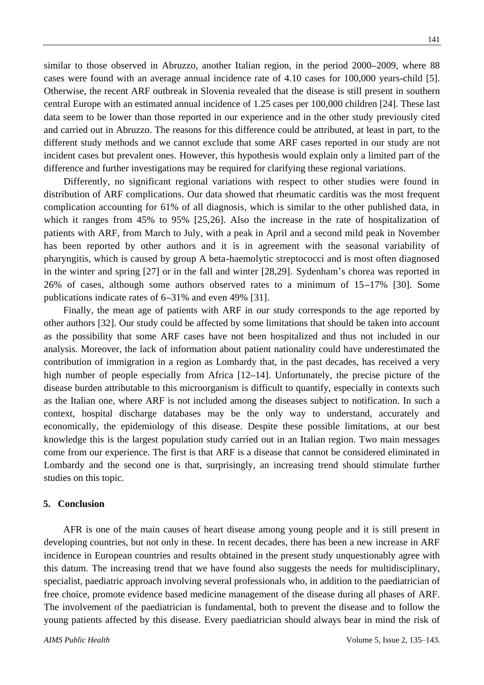similar to those observed in Abruzzo, another Italian region, in the period 2000**–**2009, where 88 cases were found with an average annual incidence rate of 4.10 cases for 100,000 years-child [5]. Otherwise, the recent ARF outbreak in Slovenia revealed that the disease is still present in southern central Europe with an estimated annual incidence of 1.25 cases per 100,000 children [24]. These last data seem to be lower than those reported in our experience and in the other study previously cited and carried out in Abruzzo. The reasons for this difference could be attributed, at least in part, to the different study methods and we cannot exclude that some ARF cases reported in our study are not incident cases but prevalent ones. However, this hypothesis would explain only a limited part of the difference and further investigations may be required for clarifying these regional variations.

Differently, no significant regional variations with respect to other studies were found in distribution of ARF complications. Our data showed that rheumatic carditis was the most frequent complication accounting for 61% of all diagnosis, which is similar to the other published data, in which it ranges from 45% to 95% [25,26]. Also the increase in the rate of hospitalization of patients with ARF, from March to July, with a peak in April and a second mild peak in November has been reported by other authors and it is in agreement with the seasonal variability of pharyngitis, which is caused by group A beta-haemolytic streptococci and is most often diagnosed in the winter and spring [27] or in the fall and winter [28,29]. Sydenham's chorea was reported in 26% of cases, although some authors observed rates to a minimum of 15**–**17% [30]. Some publications indicate rates of 6**–**31% and even 49% [31].

Finally, the mean age of patients with ARF in our study corresponds to the age reported by other authors [32]. Our study could be affected by some limitations that should be taken into account as the possibility that some ARF cases have not been hospitalized and thus not included in our analysis. Moreover, the lack of information about patient nationality could have underestimated the contribution of immigration in a region as Lombardy that, in the past decades, has received a very high number of people especially from Africa [12**–**14]. Unfortunately, the precise picture of the disease burden attributable to this microorganism is difficult to quantify, especially in contexts such as the Italian one, where ARF is not included among the diseases subject to notification. In such a context, hospital discharge databases may be the only way to understand, accurately and economically, the epidemiology of this disease. Despite these possible limitations, at our best knowledge this is the largest population study carried out in an Italian region. Two main messages come from our experience. The first is that ARF is a disease that cannot be considered eliminated in Lombardy and the second one is that, surprisingly, an increasing trend should stimulate further studies on this topic.

#### **5. Conclusion**

AFR is one of the main causes of heart disease among young people and it is still present in developing countries, but not only in these. In recent decades, there has been a new increase in ARF incidence in European countries and results obtained in the present study unquestionably agree with this datum. The increasing trend that we have found also suggests the needs for multidisciplinary, specialist, paediatric approach involving several professionals who, in addition to the paediatrician of free choice, promote evidence based medicine management of the disease during all phases of ARF. The involvement of the paediatrician is fundamental, both to prevent the disease and to follow the young patients affected by this disease. Every paediatrician should always bear in mind the risk of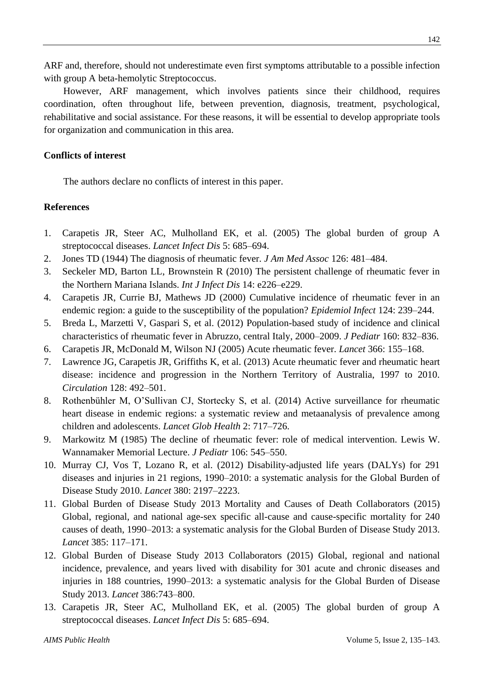ARF and, therefore, should not underestimate even first symptoms attributable to a possible infection with group A beta-hemolytic Streptococcus.

However, ARF management, which involves patients since their childhood, requires coordination, often throughout life, between prevention, diagnosis, treatment, psychological, rehabilitative and social assistance. For these reasons, it will be essential to develop appropriate tools for organization and communication in this area.

# **Conflicts of interest**

The authors declare no conflicts of interest in this paper.

### **References**

- 1. Carapetis JR, Steer AC, Mulholland EK, et al. (2005) The global burden of group A streptococcal diseases. *Lancet Infect Dis* 5: 685–694.
- 2. Jones TD (1944) The diagnosis of rheumatic fever. *J Am Med Assoc* 126: 481–484.
- 3. Seckeler MD, Barton LL, Brownstein R (2010) The persistent challenge of rheumatic fever in the Northern Mariana Islands. *Int J Infect Dis* 14: e226–e229.
- 4. Carapetis JR, Currie BJ, Mathews JD (2000) Cumulative incidence of rheumatic fever in an endemic region: a guide to the susceptibility of the population? *Epidemiol Infect* 124: 239–244.
- 5. Breda L, Marzetti V, Gaspari S, et al. (2012) Population-based study of incidence and clinical characteristics of rheumatic fever in Abruzzo, central Italy, 2000–2009. *J Pediatr* 160: 832–836.
- 6. Carapetis JR, McDonald M, Wilson NJ (2005) Acute rheumatic fever. *Lancet* 366: 155–168.
- 7. Lawrence JG, Carapetis JR, Griffiths K, et al. (2013) Acute rheumatic fever and rheumatic heart disease: incidence and progression in the Northern Territory of Australia, 1997 to 2010. *Circulation* 128: 492–501.
- 8. Rothenbühler M, O'Sullivan CJ, Stortecky S, et al. (2014) Active surveillance for rheumatic heart disease in endemic regions: a systematic review and metaanalysis of prevalence among children and adolescents. *Lancet Glob Health* 2: 717–726.
- 9. Markowitz M (1985) The decline of rheumatic fever: role of medical intervention. Lewis W. Wannamaker Memorial Lecture. *J Pediatr* 106: 545–550.
- 10. Murray CJ, Vos T, Lozano R, et al. (2012) Disability-adjusted life years (DALYs) for 291 diseases and injuries in 21 regions, 1990–2010: a systematic analysis for the Global Burden of Disease Study 2010. *Lancet* 380: 2197–2223.
- 11. Global Burden of Disease Study 2013 Mortality and Causes of Death Collaborators (2015) Global, regional, and national age-sex specific all-cause and cause-specific mortality for 240 causes of death, 1990–2013: a systematic analysis for the Global Burden of Disease Study 2013. *Lancet* 385: 117–171.
- 12. Global Burden of Disease Study 2013 Collaborators (2015) Global, regional and national incidence, prevalence, and years lived with disability for 301 acute and chronic diseases and injuries in 188 countries, 1990–2013: a systematic analysis for the Global Burden of Disease Study 2013. *Lancet* 386:743–800.
- 13. Carapetis JR, Steer AC, Mulholland EK, et al. (2005) The global burden of group A streptococcal diseases. *Lancet Infect Dis* 5: 685–694.

142